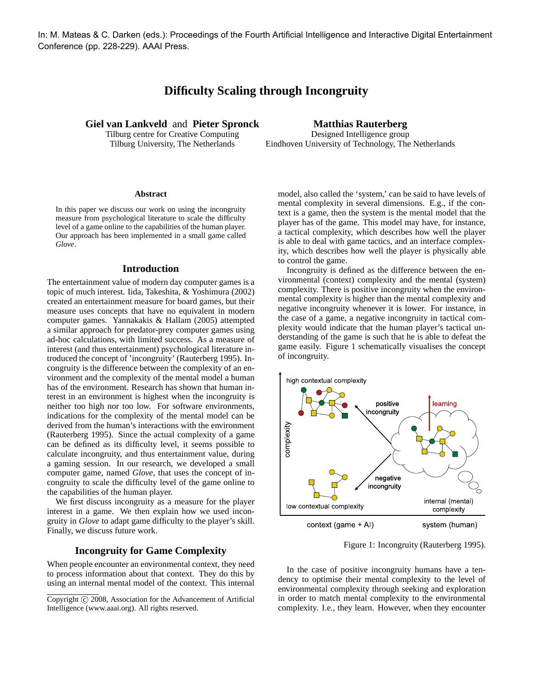In: M. Mateas & C. Darken (eds.): Proceedings of the Fourth Artificial Intelligence and Interactive Digital Entertainment Conference (pp. 228-229). AAAI Press.

# **Difficulty Scaling through Incongruity**

**Giel van Lankveld** and **Pieter Spronck**

Tilburg centre for Creative Computing Tilburg University, The Netherlands

## **Matthias Rauterberg** Designed Intelligence group Eindhoven University of Technology, The Netherlands

#### **Abstract**

In this paper we discuss our work on using the incongruity measure from psychological literature to scale the difficulty level of a game online to the capabilities of the human player. Our approach has been implemented in a small game called *Glove*.

# **Introduction**

The entertainment value of modern day computer games is a topic of much interest. Iida, Takeshita, & Yoshimura (2002) created an entertainment measure for board games, but their measure uses concepts that have no equivalent in modern computer games. Yannakakis & Hallam (2005) attempted a similar approach for predator-prey computer games using ad-hoc calculations, with limited success. As a measure of interest (and thus entertainment) psychological literature introduced the concept of 'incongruity' (Rauterberg 1995). Incongruity is the difference between the complexity of an environment and the complexity of the mental model a human has of the environment. Research has shown that human interest in an environment is highest when the incongruity is neither too high nor too low. For software environments, indications for the complexity of the mental model can be derived from the human's interactions with the environment (Rauterberg 1995). Since the actual complexity of a game can be defined as its difficulty level, it seems possible to calculate incongruity, and thus entertainment value, during a gaming session. In our research, we developed a small computer game, named *Glove*, that uses the concept of incongruity to scale the difficulty level of the game online to the capabilities of the human player.

We first discuss incongruity as a measure for the player interest in a game. We then explain how we used incongruity in *Glove* to adapt game difficulty to the player's skill. Finally, we discuss future work.

### **Incongruity for Game Complexity**

When people encounter an environmental context, they need to process information about that context. They do this by using an internal mental model of the context. This internal model, also called the 'system,' can be said to have levels of mental complexity in several dimensions. E.g., if the context is a game, then the system is the mental model that the player has of the game. This model may have, for instance, a tactical complexity, which describes how well the player is able to deal with game tactics, and an interface complexity, which describes how well the player is physically able to control the game.

Incongruity is defined as the difference between the environmental (context) complexity and the mental (system) complexity. There is positive incongruity when the environmental complexity is higher than the mental complexity and negative incongruity whenever it is lower. For instance, in the case of a game, a negative incongruity in tactical complexity would indicate that the human player's tactical understanding of the game is such that he is able to defeat the game easily. Figure 1 schematically visualises the concept of incongruity.



Figure 1: Incongruity (Rauterberg 1995).

In the case of positive incongruity humans have a tendency to optimise their mental complexity to the level of environmental complexity through seeking and exploration in order to match mental complexity to the environmental complexity. I.e., they learn. However, when they encounter

Copyright (c) 2008, Association for the Advancement of Artificial Intelligence (www.aaai.org). All rights reserved.